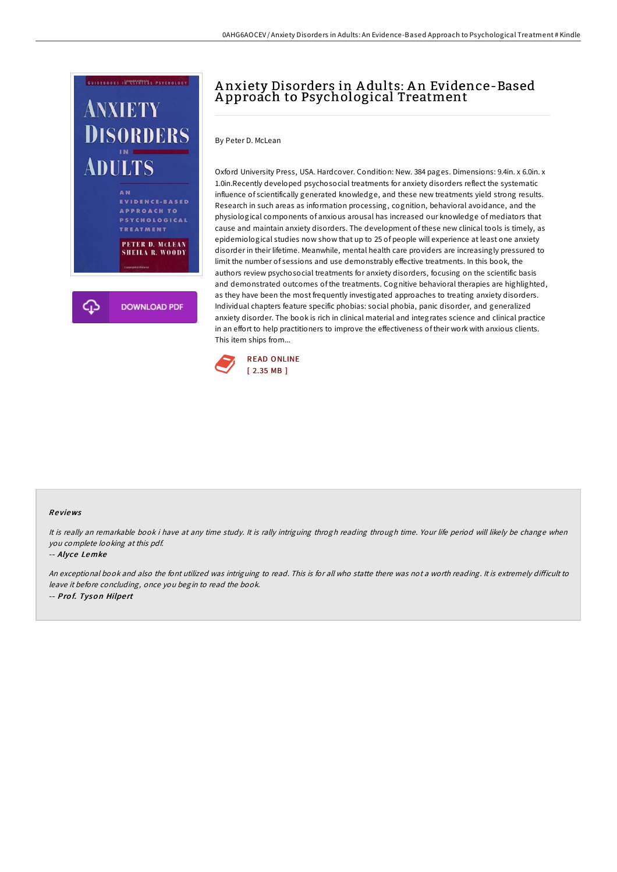

# A nxiety Disorders in A dults: A n Evidence-Based A pproach to Psychological Treatment

By Peter D. McLean

Oxford University Press, USA. Hardcover. Condition: New. 384 pages. Dimensions: 9.4in. x 6.0in. x 1.0in.Recently developed psychosocial treatments for anxiety disorders reflect the systematic influence of scientifically generated knowledge, and these new treatments yield strong results. Research in such areas as information processing, cognition, behavioral avoidance, and the physiological components of anxious arousal has increased our knowledge of mediators that cause and maintain anxiety disorders. The development of these new clinical tools is timely, as epidemiological studies now show that up to 25 of people will experience at least one anxiety disorder in their lifetime. Meanwhile, mental health care providers are increasingly pressured to limit the number of sessions and use demonstrably effective treatments. In this book, the authors review psychosocial treatments for anxiety disorders, focusing on the scientific basis and demonstrated outcomes of the treatments. Cognitive behavioral therapies are highlighted, as they have been the most frequently investigated approaches to treating anxiety disorders. Individual chapters feature specific phobias: social phobia, panic disorder, and generalized anxiety disorder. The book is rich in clinical material and integrates science and clinical practice in an effort to help practitioners to improve the effectiveness of their work with anxious clients. This item ships from...



### Re views

It is really an remarkable book i have at any time study. It is rally intriguing throgh reading through time. Your life period will likely be change when you complete looking at this pdf.

#### -- Alyce Lemke

An exceptional book and also the font utilized was intriguing to read. This is for all who statte there was not a worth reading. It is extremely difficult to leave it before concluding, once you begin to read the book. -- Pro f. Tyso <sup>n</sup> Hilpe rt